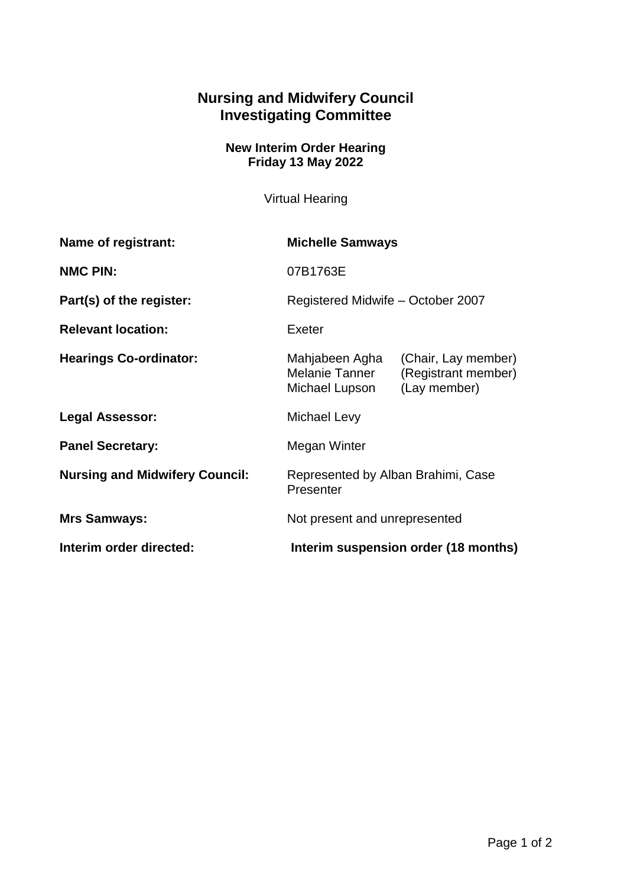## **Nursing and Midwifery Council Investigating Committee**

## **New Interim Order Hearing Friday 13 May 2022**

Virtual Hearing

| <b>Name of registrant:</b>            | <b>Michelle Samways</b>                            |                                                            |
|---------------------------------------|----------------------------------------------------|------------------------------------------------------------|
| <b>NMC PIN:</b>                       | 07B1763E                                           |                                                            |
| Part(s) of the register:              | Registered Midwife - October 2007                  |                                                            |
| <b>Relevant location:</b>             | Exeter                                             |                                                            |
| <b>Hearings Co-ordinator:</b>         | Mahjabeen Agha<br>Melanie Tanner<br>Michael Lupson | (Chair, Lay member)<br>(Registrant member)<br>(Lay member) |
| <b>Legal Assessor:</b>                | Michael Levy                                       |                                                            |
| <b>Panel Secretary:</b>               | Megan Winter                                       |                                                            |
| <b>Nursing and Midwifery Council:</b> | Represented by Alban Brahimi, Case<br>Presenter    |                                                            |
| <b>Mrs Samways:</b>                   | Not present and unrepresented                      |                                                            |
| Interim order directed:               | Interim suspension order (18 months)               |                                                            |